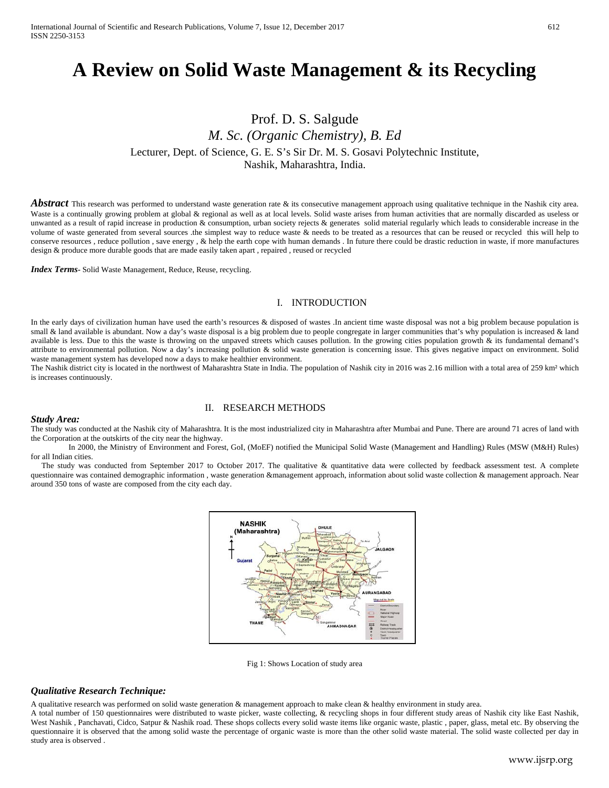# **A Review on Solid Waste Management & its Recycling**

# Prof. D. S. Salgude *M. Sc. (Organic Chemistry), B. Ed* Lecturer, Dept. of Science, G. E. S's Sir Dr. M. S. Gosavi Polytechnic Institute, Nashik, Maharashtra, India.

*Abstract* This research was performed to understand waste generation rate & its consecutive management approach using qualitative technique in the Nashik city area. Waste is a continually growing problem at global & regional as well as at local levels. Solid waste arises from human activities that are normally discarded as useless or unwanted as a result of rapid increase in production & consumption, urban society rejects & generates solid material regularly which leads to considerable increase in the volume of waste generated from several sources .the simplest way to reduce waste & needs to be treated as a resources that can be reused or recycled this will help to conserve resources , reduce pollution , save energy , & help the earth cope with human demands . In future there could be drastic reduction in waste, if more manufactures design & produce more durable goods that are made easily taken apart , repaired , reused or recycled

*Index Terms***-** Solid Waste Management, Reduce, Reuse, recycling.

## I. INTRODUCTION

In the early days of civilization human have used the earth's resources & disposed of wastes .In ancient time waste disposal was not a big problem because population is small & land available is abundant. Now a day's waste disposal is a big problem due to people congregate in larger communities that's why population is increased & land available is less. Due to this the waste is throwing on the unpaved streets which causes pollution. In the growing cities population growth & its fundamental demand's attribute to environmental pollution. Now a day's increasing pollution & solid waste generation is concerning issue. This gives negative impact on environment. Solid waste management system has developed now a days to make healthier environment.

The Nashik district city is located in the northwest of Maharashtra State in India. The population of Nashik city in 2016 was 2.16 million with a total area of 259 km<sup>2</sup> which is increases continuously.

# II. RESEARCH METHODS

#### *Study Area:*

The study was conducted at the Nashik city of Maharashtra. It is the most industrialized city in Maharashtra after Mumbai and Pune. There are around 71 acres of land with the Corporation at the outskirts of the city near the highway.

In 2000, the Ministry of Environment and Forest, GoI, (MoEF) notified the Municipal Solid Waste (Management and Handling) Rules (MSW (M&H) Rules) for all Indian cities.

The study was conducted from September 2017 to October 2017. The qualitative & quantitative data were collected by feedback assessment test. A complete questionnaire was contained demographic information , waste generation &management approach, information about solid waste collection & management approach. Near around 350 tons of waste are composed from the city each day.



Fig 1: Shows Location of study area

# *Qualitative Research Technique:*

A qualitative research was performed on solid waste generation & management approach to make clean & healthy environment in study area.

A total number of 150 questionnaires were distributed to waste picker, waste collecting, & recycling shops in four different study areas of Nashik city like East Nashik, West Nashik , Panchavati, Cidco, Satpur & Nashik road. These shops collects every solid waste items like organic waste, plastic , paper, glass, metal etc. By observing the questionnaire it is observed that the among solid waste the percentage of organic waste is more than the other solid waste material. The solid waste collected per day in study area is observed .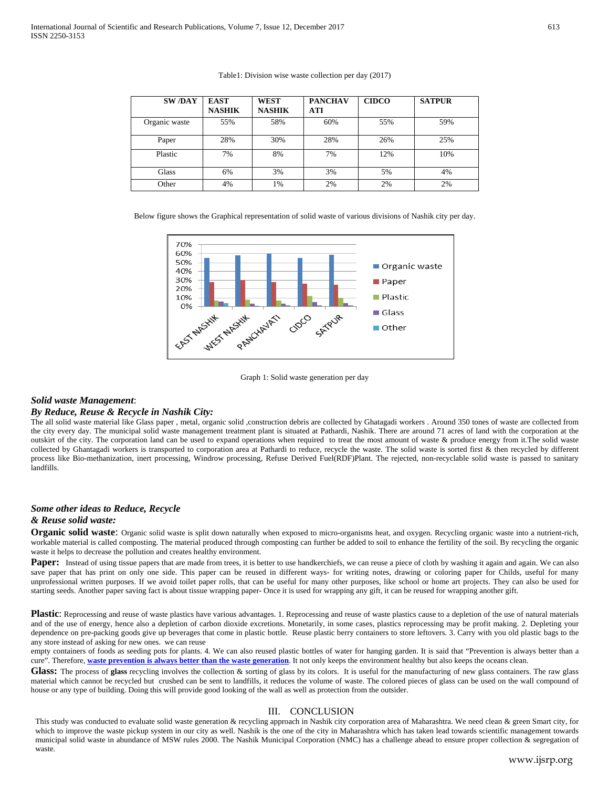| <b>SW/DAY</b> | <b>EAST</b><br><b>NASHIK</b> | <b>WEST</b><br><b>NASHIK</b> | <b>PANCHAV</b><br>ATI | <b>CIDCO</b> | <b>SATPUR</b> |
|---------------|------------------------------|------------------------------|-----------------------|--------------|---------------|
| Organic waste | 55%                          | 58%                          | 60%                   | 55%          | 59%           |
| Paper         | 28%                          | 30%                          | 28%                   | 26%          | 25%           |
| Plastic       | 7%                           | 8%                           | 7%                    | 12%          | 10%           |
| Glass         | 6%                           | 3%                           | 3%                    | 5%           | 4%            |
| Other         | 4%                           | 1%                           | 2%                    | 2%           | 2%            |

Table1: Division wise waste collection per day (2017)

Below figure shows the Graphical representation of solid waste of various divisions of Nashik city per day.



Graph 1: Solid waste generation per day

#### *Solid waste Management*:

#### *By Reduce, Reuse & Recycle in Nashik City:*

The all solid waste material like Glass paper , metal, organic solid ,construction debris are collected by Ghatagadi workers . Around 350 tones of waste are collected from the city every day. The municipal solid waste management treatment plant is situated at Pathardi, Nashik. There are around 71 acres of land with the corporation at the outskirt of the city. The corporation land can be used to expand operations when required to treat the most amount of waste & produce energy from it.The solid waste collected by Ghantagadi workers is transported to corporation area at Pathardi to reduce, recycle the waste. The solid waste is sorted first & then recycled by different process like Bio-methanization, inert processing, Windrow processing, Refuse Derived Fuel(RDF)Plant. The rejected, non-recyclable solid waste is passed to sanitary landfills.

# *Some other ideas to Reduce, Recycle*

# *& Reuse solid waste:*

**Organic solid waste**: Organic solid waste is split down naturally when exposed to micro-organisms heat, and oxygen. Recycling organic waste into a nutrient-rich, workable material is called composting. The material produced through composting can further be added to soil to enhance the fertility of the soil. By recycling the organic waste it helps to decrease the pollution and creates healthy environment.

Paper: Instead of using tissue papers that are made from trees, it is better to use handkerchiefs, we can reuse a piece of cloth by washing it again and again. We can also save paper that has print on only one side. This paper can be reused in different ways- for writing notes, drawing or coloring paper for Childs, useful for many unprofessional written purposes. If we avoid toilet paper rolls, that can be useful for many other purposes, like school or home art projects. They can also be used for starting seeds. Another paper saving fact is about tissue wrapping paper- Once it is used for wrapping any gift, it can be reused for wrapping another gift.

**Plastic**: Reprocessing and reuse of waste plastics have various advantages. 1. Reprocessing and reuse of waste plastics cause to a depletion of the use of natural materials and of the use of energy, hence also a depletion of carbon dioxide excretions. Monetarily, in some cases, plastics reprocessing may be profit making. 2. Depleting your dependence on pre-packing goods give up beverages that come in plastic bottle. Reuse plastic berry containers to store leftovers. 3. Carry with you old plastic bags to the any store instead of asking for new ones. we can reuse

empty containers of foods as seeding pots for plants. 4. We can also reused plastic bottles of water for hanging garden. It is said that "Prevention is always better than a cure". Therefore, **[waste prevention is always better than the waste generation](http://hummingbirdinternational.net/infographic-waste-prevention-or-waste-generation/#_blank)**. It not only keeps the environment healthy but also keeps the oceans clean.

Glass: The process of glass recycling involves the collection & sorting of glass by its colors. It is useful for the manufacturing of new glass containers. The raw glass material which cannot be recycled but crushed can be sent to landfills, it reduces the volume of waste. The colored pieces of glass can be used on the wall compound of house or any type of building. Doing this will provide good looking of the wall as well as protection from the outsider.

## III. CONCLUSION

This study was conducted to evaluate solid waste generation & recycling approach in Nashik city corporation area of Maharashtra. We need clean & green Smart city, for which to improve the waste pickup system in our city as well. Nashik is the one of the city in Maharashtra which has taken lead towards scientific management towards municipal solid waste in abundance of MSW rules 2000. The Nashik Municipal Corporation (NMC) has a challenge ahead to ensure proper collection & segregation of waste.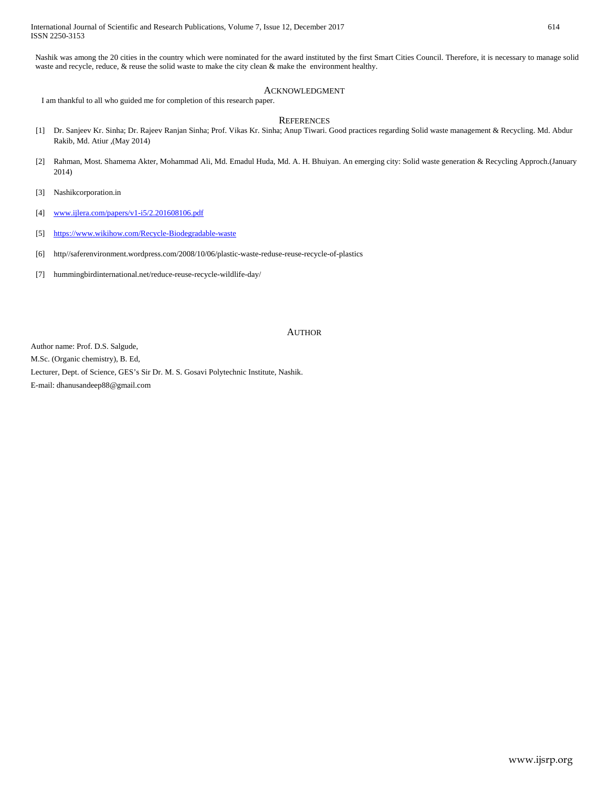Nashik was among the 20 cities in the country which were nominated for the award instituted by the first Smart Cities Council. Therefore, it is necessary to manage solid waste and recycle, reduce, & reuse the solid waste to make the city clean & make the environment healthy.

## ACKNOWLEDGMENT

I am thankful to all who guided me for completion of this research paper.

#### **REFERENCES**

- [1] Dr. Sanjeev Kr. Sinha; Dr. Rajeev Ranjan Sinha; Prof. Vikas Kr. Sinha; Anup Tiwari. Good practices regarding Solid waste management & Recycling. Md. Abdur Rakib, Md. Atiur ,(May 2014)
- [2] Rahman, Most. Shamema Akter, Mohammad Ali, Md. Emadul Huda, Md. A. H. Bhuiyan. An emerging city: Solid waste generation & Recycling Approch.(January 2014)
- [3] Nashikcorporation.in
- [4] [www.ijlera.com/papers/v1-i5/2.201608106.pdf](http://www.ijlera.com/papers/v1-i5/2.201608106.pdf)
- [5] <https://www.wikihow.com/Recycle-Biodegradable-waste>
- [6] http//saferenvironment.wordpress.com/2008/10/06/plastic-waste-reduse-reuse-recycle-of-plastics
- [7] hummingbirdinternational.net/reduce-reuse-recycle-wildlife-day/

#### AUTHOR

Author name: Prof. D.S. Salgude,

M.Sc. (Organic chemistry), B. Ed,

Lecturer, Dept. of Science, GES's Sir Dr. M. S. Gosavi Polytechnic Institute, Nashik.

E-mail: dhanusandeep88@gmail.com